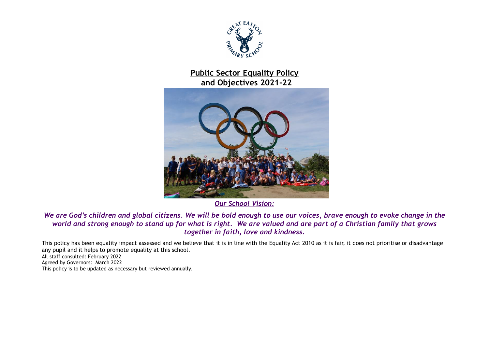

# **Public Sector Equality Policy and Objectives 2021-22**



*Our School Vision:*

#### *We are God's children and global citizens. We will be bold enough to use our voices, brave enough to evoke change in the world and strong enough to stand up for what is right. We are valued and are part of a Christian family that grows together in faith, love and kindness.*

This policy has been equality impact assessed and we believe that it is in line with the Equality Act 2010 as it is fair, it does not prioritise or disadvantage any pupil and it helps to promote equality at this school.

All staff consulted: February 2022 Agreed by Governors: March 2022 This policy is to be updated as necessary but reviewed annually.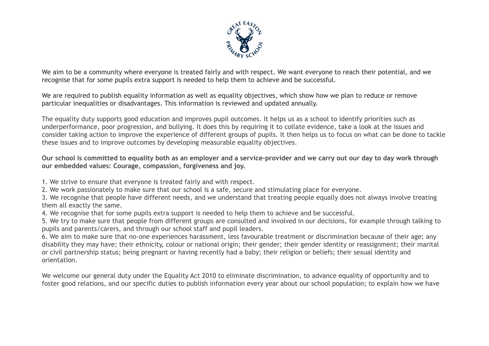

We aim to be a community where everyone is treated fairly and with respect. We want everyone to reach their potential, and we recognise that for some pupils extra support is needed to help them to achieve and be successful.

We are required to publish equality information as well as equality objectives, which show how we plan to reduce or remove particular inequalities or disadvantages. This information is reviewed and updated annually.

The equality duty supports good education and improves pupil outcomes. It helps us as a school to identify priorities such as underperformance, poor progression, and bullying. It does this by requiring it to collate evidence, take a look at the issues and consider taking action to improve the experience of different groups of pupils. It then helps us to focus on what can be done to tackle these issues and to improve outcomes by developing measurable equality objectives.

Our school is committed to equality both as an employer and a service-provider and we carry out our day to day work through **our embedded values: Courage, compassion, forgiveness and joy.**

1. We strive to ensure that everyone is treated fairly and with respect.

2. We work passionately to make sure that our school is a safe, secure and stimulating place for everyone.

3. We recognise that people have different needs, and we understand that treating people equally does not always involve treating them all exactly the same.

4. We recognise that for some pupils extra support is needed to help them to achieve and be successful.

5. We try to make sure that people from different groups are consulted and involved in our decisions, for example through talking to pupils and parents/carers, and through our school staff and pupil leaders.

6. We aim to make sure that no-one experiences harassment, less favourable treatment or discrimination because of their age; any disability they may have; their ethnicity, colour or national origin; their gender; their gender identity or reassignment; their marital or civil partnership status; being pregnant or having recently had a baby; their religion or beliefs; their sexual identity and orientation.

We welcome our general duty under the Equality Act 2010 to eliminate discrimination, to advance equality of opportunity and to foster good relations, and our specific duties to publish information every year about our school population; to explain how we have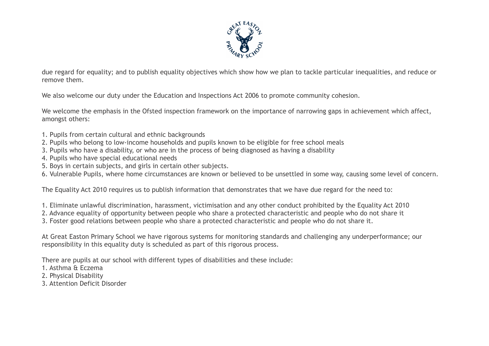

due regard for equality; and to publish equality objectives which show how we plan to tackle particular inequalities, and reduce or remove them.

We also welcome our duty under the Education and Inspections Act 2006 to promote community cohesion.

We welcome the emphasis in the Ofsted inspection framework on the importance of narrowing gaps in achievement which affect, amongst others:

- 1. Pupils from certain cultural and ethnic backgrounds
- 2. Pupils who belong to low-income households and pupils known to be eligible for free school meals
- 3. Pupils who have a disability, or who are in the process of being diagnosed as having a disability
- 4. Pupils who have special educational needs
- 5. Boys in certain subjects, and girls in certain other subjects.
- 6. Vulnerable Pupils, where home circumstances are known or believed to be unsettled in some way, causing some level of concern.

The Equality Act 2010 requires us to publish information that demonstrates that we have due regard for the need to:

1. Eliminate unlawful discrimination, harassment, victimisation and any other conduct prohibited by the Equality Act 2010

- 2. Advance equality of opportunity between people who share a protected characteristic and people who do not share it
- 3. Foster good relations between people who share a protected characteristic and people who do not share it.

At Great Easton Primary School we have rigorous systems for monitoring standards and challenging any underperformance; our responsibility in this equality duty is scheduled as part of this rigorous process.

There are pupils at our school with different types of disabilities and these include:

- 1. Asthma & Eczema
- 2. Physical Disability
- 3. Attention Deficit Disorder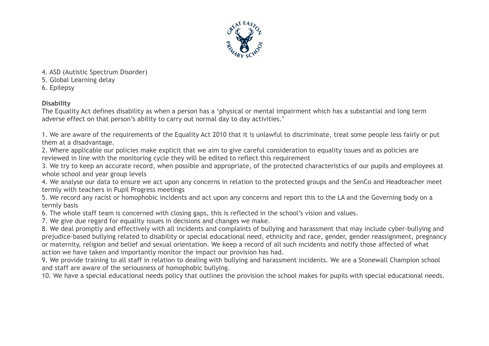

4. ASD (Autistic Spectrum Disorder)

5. Global Learning delay

6. Epilepsy

### **Disability**

The Equality Act defines disability as when a person has a 'physical or mental impairment which has a substantial and long term adverse effect on that person's ability to carry out normal day to day activities.'

1. We are aware of the requirements of the Equality Act 2010 that it is unlawful to discriminate, treat some people less fairly or put them at a disadvantage.

2. Where applicable our policies make explicit that we aim to give careful consideration to equality issues and as policies are reviewed in line with the monitoring cycle they will be edited to reflect this requirement

3. We try to keep an accurate record, when possible and appropriate, of the protected characteristics of our pupils and employees at whole school and year group levels

4. We analyse our data to ensure we act upon any concerns in relation to the protected groups and the SenCo and Headteacher meet termly with teachers in Pupil Progress meetings

5. We record any racist or homophobic incidents and act upon any concerns and report this to the LA and the Governing body on a termly basis

6. The whole staff team is concerned with closing gaps, this is reflected in the school's vision and values.

7. We give due regard for equality issues in decisions and changes we make.

8. We deal promptly and effectively with all incidents and complaints of bullying and harassment that may include cyber-bullying and prejudice-based bullying related to disability or special educational need, ethnicity and race, gender, gender reassignment, pregnancy or maternity, religion and belief and sexual orientation. We keep a record of all such incidents and notify those affected of what action we have taken and importantly monitor the impact our provision has had.

9. We provide training to all staff in relation to dealing with bullying and harassment incidents. We are a Stonewall Champion school and staff are aware of the seriousness of homophobic bullying.

10. We have a special educational needs policy that outlines the provision the school makes for pupils with special educational needs.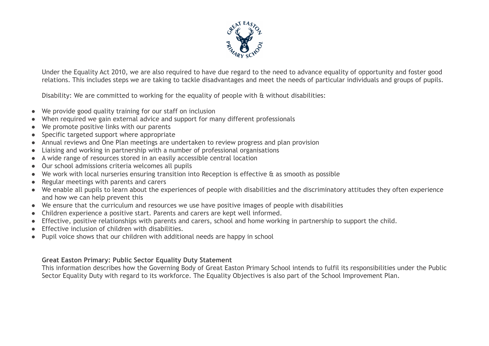

Under the Equality Act 2010, we are also required to have due regard to the need to advance equality of opportunity and foster good relations. This includes steps we are taking to tackle disadvantages and meet the needs of particular individuals and groups of pupils.

Disability: We are committed to working for the equality of people with & without disabilities:

- We provide good quality training for our staff on inclusion
- When required we gain external advice and support for many different professionals
- We promote positive links with our parents
- Specific targeted support where appropriate
- Annual reviews and One Plan meetings are undertaken to review progress and plan provision
- Liaising and working in partnership with a number of professional organisations
- A wide range of resources stored in an easily accessible central location
- Our school admissions criteria welcomes all pupils
- We work with local nurseries ensuring transition into Reception is effective & as smooth as possible
- Regular meetings with parents and carers
- We enable all pupils to learn about the experiences of people with disabilities and the discriminatory attitudes they often experience and how we can help prevent this
- We ensure that the curriculum and resources we use have positive images of people with disabilities
- Children experience a positive start. Parents and carers are kept well informed.
- Effective, positive relationships with parents and carers, school and home working in partnership to support the child.
- Effective inclusion of children with disabilities.
- Pupil voice shows that our children with additional needs are happy in school

#### **Great Easton Primary: Public Sector Equality Duty Statement**

This information describes how the Governing Body of Great Easton Primary School intends to fulfil its responsibilities under the Public Sector Equality Duty with regard to its workforce. The Equality Objectives is also part of the School Improvement Plan.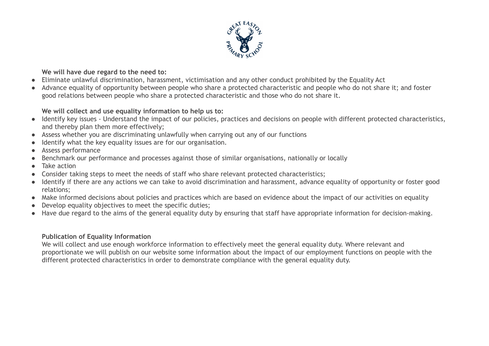

**We will have due regard to the need to:**

- Eliminate unlawful discrimination, harassment, victimisation and any other conduct prohibited by the Equality Act
- Advance equality of opportunity between people who share a protected characteristic and people who do not share it; and foster good relations between people who share a protected characteristic and those who do not share it.

### **We will collect and use equality information to help us to:**

- Identify key issues Understand the impact of our policies, practices and decisions on people with different protected characteristics, and thereby plan them more effectively;
- Assess whether you are discriminating unlawfully when carrying out any of our functions
- Identify what the key equality issues are for our organisation.
- Assess performance
- Benchmark our performance and processes against those of similar organisations, nationally or locally
- Take action
- Consider taking steps to meet the needs of staff who share relevant protected characteristics;
- Identify if there are any actions we can take to avoid discrimination and harassment, advance equality of opportunity or foster good relations;
- Make informed decisions about policies and practices which are based on evidence about the impact of our activities on equality
- Develop equality objectives to meet the specific duties;
- Have due regard to the aims of the general equality duty by ensuring that staff have appropriate information for decision-making.

## **Publication of Equality Information**

We will collect and use enough workforce information to effectively meet the general equality duty. Where relevant and proportionate we will publish on our website some information about the impact of our employment functions on people with the different protected characteristics in order to demonstrate compliance with the general equality duty.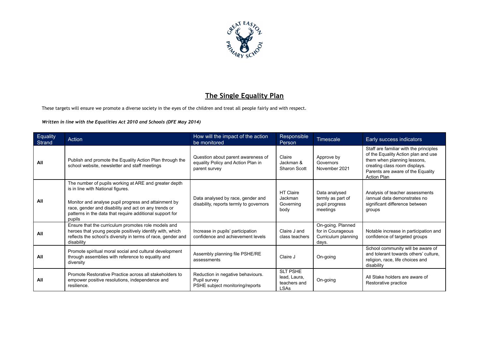

## **The Single Equality Plan**

These targets will ensure we promote a diverse society in the eyes of the children and treat all people fairly and with respect.

*Written in line with the Equalities Act 2010 and Schools (DFE May 2014)*

| Equality<br>Strand | Action                                                                                                                                                                                                                                                                           | How will the impact of the action<br>be monitored                                         | Responsible<br>Person                                          | Timescale                                                              | Early success indicators                                                                                                                                                                                 |
|--------------------|----------------------------------------------------------------------------------------------------------------------------------------------------------------------------------------------------------------------------------------------------------------------------------|-------------------------------------------------------------------------------------------|----------------------------------------------------------------|------------------------------------------------------------------------|----------------------------------------------------------------------------------------------------------------------------------------------------------------------------------------------------------|
| All                | Publish and promote the Equality Action Plan through the<br>school website, newsletter and staff meetings                                                                                                                                                                        | Question about parent awareness of<br>equality Policy and Action Plan in<br>parent survey | Claire<br>Jackman &<br><b>Sharon Scott</b>                     | Approve by<br>Governors<br>November 2021                               | Staff are familiar with the principles<br>of the Equality Action plan and use<br>them when planning lessons,<br>creating class room displays.<br>Parents are aware of the Equality<br><b>Action Plan</b> |
| All                | The number of pupils working at ARE and greater depth<br>is in line with National figures.<br>Monitor and analyse pupil progress and attainment by<br>race, gender and disability and act on any trends or<br>patterns in the data that require additional support for<br>pupils | Data analysed by race, gender and<br>disability, reports termly to governors              | <b>HT Claire</b><br>Jackman<br>Governing<br>body               | Data analysed<br>termly as part of<br>pupil progress<br>meetings       | Analysis of teacher assessments<br>/annual data demonstrates no<br>significant difference between<br>groups                                                                                              |
| All                | Ensure that the curriculum promotes role models and<br>heroes that young people positively identify with, which<br>reflects the school's diversity in terms of race, gender and<br>disability                                                                                    | Increase in pupils' participation<br>confidence and achievement levels                    | Claire J and<br>class teachers                                 | On-going. Planned<br>for in Courageous<br>Curriculum planning<br>days. | Notable increase in participation and<br>confidence of targeted groups                                                                                                                                   |
| All                | Promote spiritual moral social and cultural development<br>through assemblies with reference to equality and<br>diversity                                                                                                                                                        | Assembly planning file PSHE/RE<br>assessments                                             | Claire J                                                       | On-going                                                               | School community will be aware of<br>and tolerant towards others' culture,<br>religion, race, life choices and<br>disability                                                                             |
| All                | Promote Restorative Practice across all stakeholders to<br>empower positive resolutions, independence and<br>resilience.                                                                                                                                                         | Reduction in negative behaviours.<br>Pupil survey<br>PSHE subject monitoring/reports      | <b>SLT PSHE</b><br>lead, Laura,<br>teachers and<br><b>LSAs</b> | On-going                                                               | All Stake holders are aware of<br>Restorative practice                                                                                                                                                   |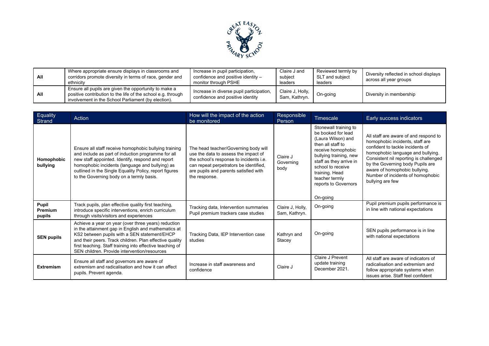

| All | Where appropriate ensure displays in classrooms and<br>corridors promote diversity in terms of race, gender and<br>ethnicity                                                 | Increase in pupil participation,<br>confidence and positive identity -<br>monitor through PSHE | Claire J and<br>subject<br>leaders | Reviewed termly by<br>SLT and subject<br>leaders | Diversity reflected in school displays<br>across all year groups |
|-----|------------------------------------------------------------------------------------------------------------------------------------------------------------------------------|------------------------------------------------------------------------------------------------|------------------------------------|--------------------------------------------------|------------------------------------------------------------------|
| All | Ensure all pupils are given the opportunity to make a<br>positive contribution to the life of the school e.g. through<br>involvement in the School Parliament (by election). | Increase in diverse pupil participation,<br>confidence and positive identity                   | Claire J, Holly,<br>Sam, Kathryn.  | On-going                                         | Diversity in membership                                          |

| Equality<br>Strand                | Action                                                                                                                                                                                                                                                                                                                             | How will the impact of the action<br>be monitored                                                                                                                                                                           | Responsible<br>Person             | Timescale                                                                                                                                                                                                                                                      | Early success indicators                                                                                                                                                                                                                                                                                                  |
|-----------------------------------|------------------------------------------------------------------------------------------------------------------------------------------------------------------------------------------------------------------------------------------------------------------------------------------------------------------------------------|-----------------------------------------------------------------------------------------------------------------------------------------------------------------------------------------------------------------------------|-----------------------------------|----------------------------------------------------------------------------------------------------------------------------------------------------------------------------------------------------------------------------------------------------------------|---------------------------------------------------------------------------------------------------------------------------------------------------------------------------------------------------------------------------------------------------------------------------------------------------------------------------|
| Homophobic<br>bullying            | Ensure all staff receive homophobic bullying training<br>and include as part of induction programme for all<br>new staff appointed. Identify, respond and report<br>homophobic incidents (language and bullying) as<br>outlined in the Single Equality Policy, report figures<br>to the Governing body on a termly basis.          | The head teacher/Governing body will<br>use the data to assess the impact of<br>the school's response to incidents i.e.<br>can repeat perpetrators be identified,<br>are pupils and parents satisfied with<br>the response. | Claire J<br>Governing<br>body     | Stonewall training to<br>be booked for lead<br>(Laura Wilson) and<br>then all staff to<br>receive homophobic<br>bullying training, new<br>staff as they arrive in<br>school to receive<br>training. Head<br>teacher termly<br>reports to Governors<br>On-going | All staff are aware of and respond to<br>homophobic incidents, staff are<br>confident to tackle incidents of<br>homophobic language and bullying.<br>Consistent nil reporting is challenged<br>by the Governing body Pupils are<br>aware of homophobic bullying.<br>Number of incidents of homophobic<br>bullying are few |
| Pupil<br><b>Premium</b><br>pupils | Track pupils, plan effective quality first teaching,<br>introduce specific interventions, enrich curriculum<br>through visits/visitors and experiences                                                                                                                                                                             | Tracking data, Intervention summaries<br>Pupil premium trackers case studies                                                                                                                                                | Claire J, Holly,<br>Sam, Kathryn. | On-going                                                                                                                                                                                                                                                       | Pupil premium pupils performance is<br>in line with national expectations                                                                                                                                                                                                                                                 |
| <b>SEN pupils</b>                 | Achieve a year on year (over three years) reduction<br>in the attainment gap in English and mathematics at<br>KS2 between pupils with a SEN statement/EHCP<br>and their peers. Track children. Plan effective quality<br>first teaching. Staff training into effective teaching of<br>SEN children. Provide intervention/resources | Tracking Data, IEP Intervention case<br>studies                                                                                                                                                                             | Kathryn and<br>Stacey             | On-going                                                                                                                                                                                                                                                       | SEN pupils performance is in line<br>with national expectations                                                                                                                                                                                                                                                           |
| <b>Extremism</b>                  | Ensure all staff and governors are aware of<br>extremism and radicalisation and how it can affect<br>pupils. Prevent agenda.                                                                                                                                                                                                       | Increase in staff awareness and<br>confidence                                                                                                                                                                               | Claire J                          | Claire J Prevent<br>update training<br>December 2021.                                                                                                                                                                                                          | All staff are aware of indicators of<br>radicalisation and extremism and<br>follow appropriate systems when<br>issues arise. Staff feel confident                                                                                                                                                                         |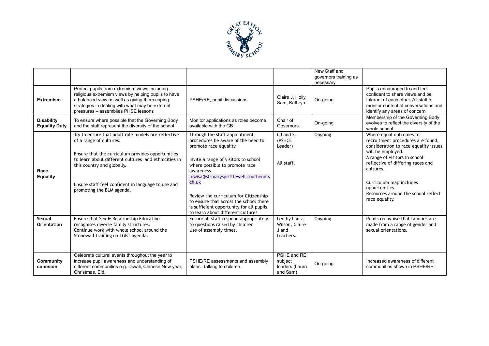

|                                           |                                                                                                                                                                                                                                                                                                              |                                                                                                                                                                                                                                                                                                                                                                                                             |                                                      | New Staff and<br>governors training as<br>necessary |                                                                                                                                                                                                                                                                                                                     |
|-------------------------------------------|--------------------------------------------------------------------------------------------------------------------------------------------------------------------------------------------------------------------------------------------------------------------------------------------------------------|-------------------------------------------------------------------------------------------------------------------------------------------------------------------------------------------------------------------------------------------------------------------------------------------------------------------------------------------------------------------------------------------------------------|------------------------------------------------------|-----------------------------------------------------|---------------------------------------------------------------------------------------------------------------------------------------------------------------------------------------------------------------------------------------------------------------------------------------------------------------------|
| <b>Extremism</b>                          | Protect pupils from extremism views including<br>religious extremism views by helping pupils to have<br>a balanced view as well as giving them coping<br>strategies in dealing with what may be external<br>pressures - assemblies PHSE lessons                                                              | PSHE/RE, pupil discussions                                                                                                                                                                                                                                                                                                                                                                                  | Claire J, Holly,<br>Sam, Kathryn.                    | On-going                                            | Pupils encouraged to and feel<br>confident to share views and be<br>tolerant of each other. All staff to<br>monitor content of conversations and<br>identify any areas of concern                                                                                                                                   |
| <b>Disability</b><br><b>Equality Duty</b> | To ensure where possible that the Governing Body<br>and the staff represent the diversity of the school                                                                                                                                                                                                      | Monitor applications as roles become<br>available with the GB                                                                                                                                                                                                                                                                                                                                               | Chair of<br>Governors                                | On-going                                            | Membership of the Governing Body<br>evolves to reflect the diversity of the<br>whole school                                                                                                                                                                                                                         |
| Race<br><b>Equality</b>                   | Try to ensure that adult role models are reflective<br>of a range of cultures.<br>Ensure that the curriculum provides opportunities<br>to learn about different cultures and ethnicities in<br>this country and globally.<br>Ensure staff feel confident in language to use and<br>promoting the BLM agenda. | Through the staff appointment<br>procedures be aware of the need to<br>promote race equality.<br>Invite a range of visitors to school<br>where possible to promote race<br>awareness.<br>lewisa@st-marysprittlewell.southend.s<br>ch.uk<br>Review the curriculum for Citizenship<br>to ensure that across the school there<br>is sufficient opportunity for all pupils<br>to learn about different cultures | CJ and SL<br>(PSHCE<br>Leader)<br>All staff.         | Ongoing                                             | Where equal outcomes to<br>recruitment procedures are found,<br>consideration to race equality issues<br>will be employed.<br>A range of visitors in school<br>reflective of differing races and<br>cultures.<br>Curriculum map includes<br>opportunities.<br>Resources around the school reflect<br>race equality. |
| Sexual<br>Orientation                     | Ensure that Sex & Relationship Education<br>recognises diverse family structures.<br>Continue work with whole school around the<br>Stonewall training on LGBT agenda.                                                                                                                                        | Ensure all staff respond appropriately<br>to questions raised by children<br>Use of assembly times.                                                                                                                                                                                                                                                                                                         | Led by Laura<br>Wilson, Claire<br>J and<br>teachers. | Ongoing                                             | Pupils recognise that families are<br>made from a range of gender and<br>sexual orientations.                                                                                                                                                                                                                       |
| Community<br>cohesion                     | Celebrate cultural events throughout the year to<br>increase pupil awareness and understanding of<br>different communities e.g. Diwali, Chinese New year,<br>Christmas, Eid.                                                                                                                                 | PSHE/RE assessments and assembly<br>plans. Talking to children.                                                                                                                                                                                                                                                                                                                                             | PSHE and RE<br>subject<br>leaders (Laura<br>and Sam) | On-going                                            | Increased awareness of different<br>communities shown in PSHE/RE                                                                                                                                                                                                                                                    |